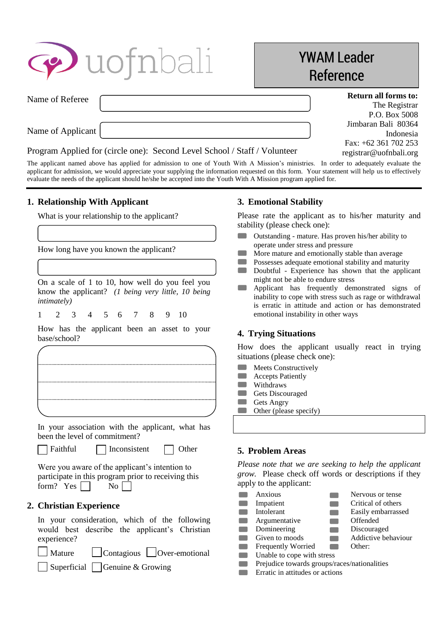| <b>P</b> uofnbali                                                         | <b>YWAM Leader</b><br>Reference                               |  |
|---------------------------------------------------------------------------|---------------------------------------------------------------|--|
| Name of Referee                                                           | <b>Return all forms to:</b><br>The Registrar<br>P.O. Box 5008 |  |
| Name of Applicant                                                         | Jimbaran Bali 80364<br>Indonesia                              |  |
| Program Applied for (circle one): Second Level School / Staff / Volunteer | Fax: $+62$ 361 702 253<br>registrar@uofnbali.org              |  |

The applicant named above has applied for admission to one of Youth With A Mission's ministries. In order to adequately evaluate the applicant for admission, we would appreciate your supplying the information requested on this form. Your statement will help us to effectively evaluate the needs of the applicant should he/she be accepted into the Youth With A Mission program applied for.

## **1. Relationship With Applicant**

What is your relationship to the applicant?

How long have you known the applicant?

On a scale of 1 to 10, how well do you feel you know the applicant? *(1 being very little, 10 being intimately)*

1 2 3 4 5 6 7 8 9 10

How has the applicant been an asset to your base/school?

In your association with the applicant, what has been the level of commitment?

ſ

| l Faithful<br><b>Other</b><br>Inconsistent |
|--------------------------------------------|
|--------------------------------------------|

Were you aware of the applicant's intention to participate in this program prior to receiving this form? Yes  $\Box$  No  $\Box$ 

# **2. Christian Experience**

In your consideration, which of the following would best describe the applicant's Christian experience?

Г Mature Contagious Over-emotional

 $\Box$  Superficial  $\Box$  Genuine & Growing

## **3. Emotional Stability**

Please rate the applicant as to his/her maturity and stability (please check one):

- Outstanding mature. Has proven his/her ability to operate under stress and pressure
- $\overline{\phantom{a}}$ More mature and emotionally stable than average
- **Contract** Possesses adequate emotional stability and maturity
- $\Box$ Doubtful - Experience has shown that the applicant might not be able to endure stress
- **Contract** Applicant has frequently demonstrated signs of inability to cope with stress such as rage or withdrawal is erratic in attitude and action or has demonstrated emotional instability in other ways

## **4. Trying Situations**

How does the applicant usually react in trying situations (please check one):

- **COL** Meets Constructively
- $\blacksquare$ Accepts Patiently
- $\Box$ Withdraws **Contract**
- Gets Discouraged **Contract** Gets Angry
- **The Second** Other (please specify)

## **5. Problem Areas**

*Please note that we are seeking to help the applicant grow.* Please check off words or descriptions if they apply to the applicant:

| Anxious                                      | Nervous or tense    |
|----------------------------------------------|---------------------|
| Impatient                                    | Critical of others  |
| Intolerant                                   | Easily embarrassed  |
| Argumentative                                | Offended            |
| Domineering                                  | Discouraged         |
| Given to moods                               | Addictive behaviour |
| <b>Frequently Worried</b>                    | Other:              |
| Unable to cope with stress                   |                     |
| Prejudice towards groups/races/nationalities |                     |
| Erratic in attitudes or actions              |                     |